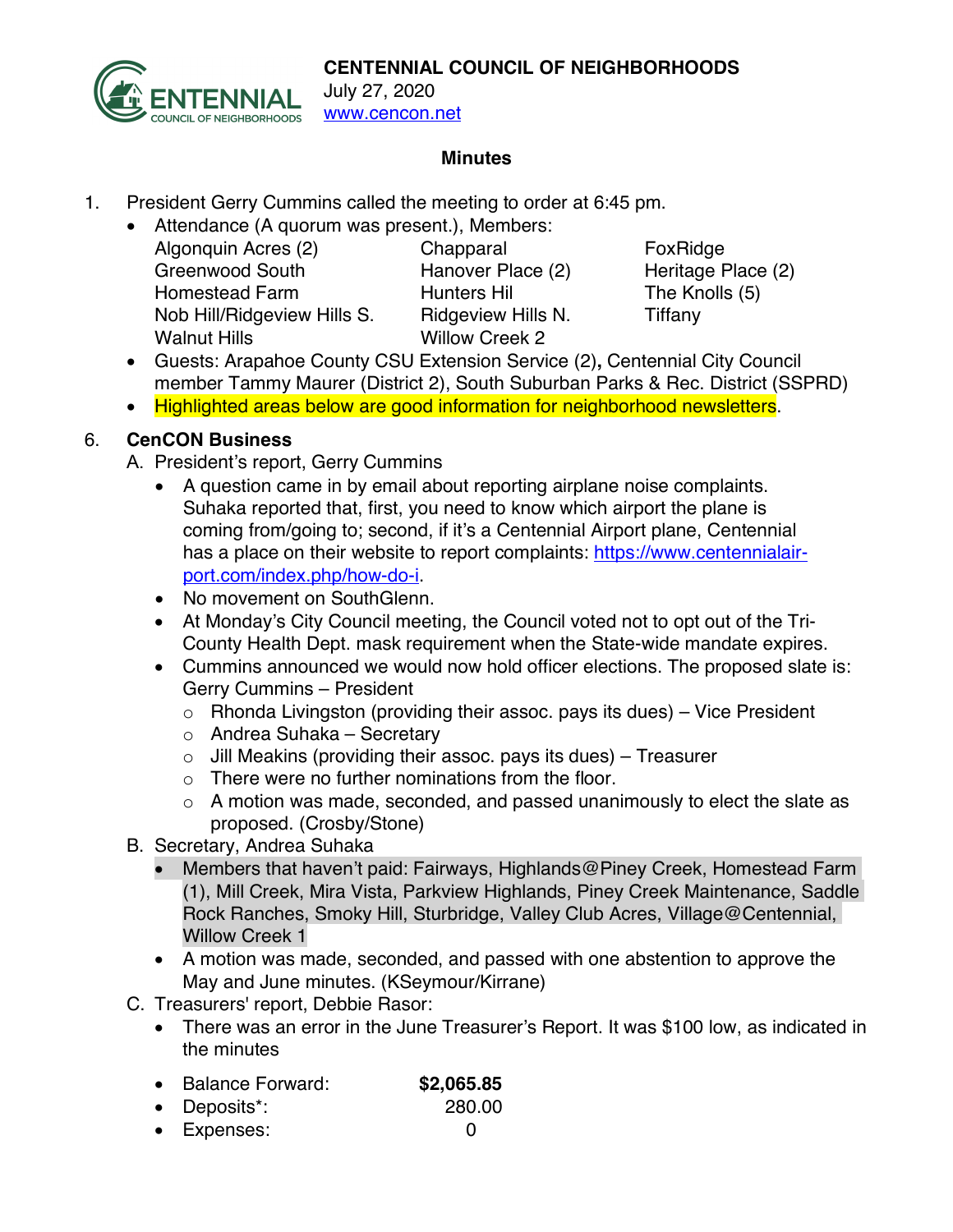

July 27, 2020 www.cencon.net

#### **Minutes**

- 1. President Gerry Cummins called the meeting to order at 6:45 pm.
	- Attendance (A quorum was present.), Members: Algonquin Acres (2) Chapparal FoxRidge Greenwood South Hanover Place (2) Heritage Place (2) Homestead Farm Hunters Hil The Knolls (5) Nob Hill/Ridgeview Hills S. Bidgeview Hills N. Tiffany Walnut Hills Willow Creek 2

- Guests: Arapahoe County CSU Extension Service (2)**,** Centennial City Council member Tammy Maurer (District 2), South Suburban Parks & Rec. District (SSPRD)
- Highlighted areas below are good information for neighborhood newsletters.

## 6. **CenCON Business**

- A. President's report, Gerry Cummins
	- A question came in by email about reporting airplane noise complaints. Suhaka reported that, first, you need to know which airport the plane is coming from/going to; second, if it's a Centennial Airport plane, Centennial has a place on their website to report complaints: https://www.centennialairport.com/index.php/how-do-i.
	- No movement on SouthGlenn.
	- At Monday's City Council meeting, the Council voted not to opt out of the Tri-County Health Dept. mask requirement when the State-wide mandate expires.
	- Cummins announced we would now hold officer elections. The proposed slate is: Gerry Cummins – President
		- $\circ$  Rhonda Livingston (providing their assoc. pays its dues) Vice President
		- o Andrea Suhaka Secretary
		- $\circ$  Jill Meakins (providing their assoc. pays its dues) Treasurer
		- o There were no further nominations from the floor.
		- $\circ$  A motion was made, seconded, and passed unanimously to elect the slate as proposed. (Crosby/Stone)
- B. Secretary, Andrea Suhaka
	- Members that haven't paid: Fairways, Highlands@Piney Creek, Homestead Farm (1), Mill Creek, Mira Vista, Parkview Highlands, Piney Creek Maintenance, Saddle Rock Ranches, Smoky Hill, Sturbridge, Valley Club Acres, Village@Centennial, Willow Creek 1
	- A motion was made, seconded, and passed with one abstention to approve the May and June minutes. (KSeymour/Kirrane)
- C. Treasurers' report, Debbie Rasor:
	- There was an error in the June Treasurer's Report. It was \$100 low, as indicated in the minutes
	- Balance Forward: **\$2,065.85**
	- Deposits\*: 280.00
	- Expenses: 0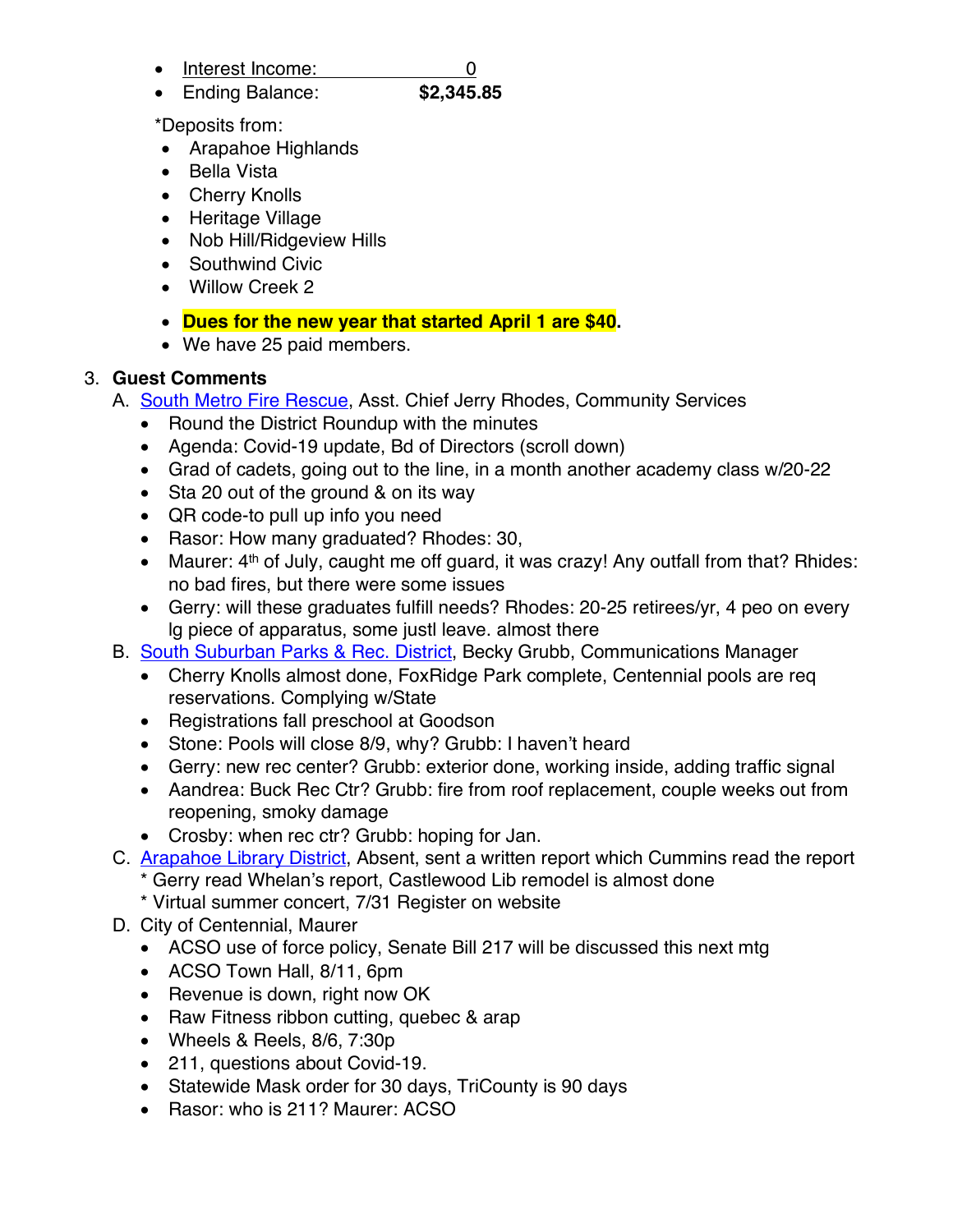- Interest Income: 0
- Ending Balance: **\$2,345.85**

\*Deposits from:

- Arapahoe Highlands
- Bella Vista
- Cherry Knolls
- Heritage Village
- Nob Hill/Ridgeview Hills
- Southwind Civic
- Willow Creek 2
- **Dues for the new year that started April 1 are \$40.**
- We have 25 paid members.

# 3. **Guest Comments**

- A. **South Metro Fire Rescue, Asst. Chief Jerry Rhodes, Community Services** 
	- Round the District Roundup with the minutes
	- Agenda: Covid-19 update, Bd of Directors (scroll down)
	- Grad of cadets, going out to the line, in a month another academy class w/20-22
	- Sta 20 out of the ground & on its way
	- QR code-to pull up info you need
	- Rasor: How many graduated? Rhodes: 30,
	- Maurer: 4<sup>th</sup> of July, caught me off guard, it was crazy! Any outfall from that? Rhides: no bad fires, but there were some issues
	- Gerry: will these graduates fulfill needs? Rhodes: 20-25 retirees/yr, 4 peo on every lg piece of apparatus, some justl leave. almost there
- B. South Suburban Parks & Rec. District, Becky Grubb, Communications Manager
	- Cherry Knolls almost done, FoxRidge Park complete, Centennial pools are req reservations. Complying w/State
	- Registrations fall preschool at Goodson
	- Stone: Pools will close 8/9, why? Grubb: I haven't heard
	- Gerry: new rec center? Grubb: exterior done, working inside, adding traffic signal
	- Aandrea: Buck Rec Ctr? Grubb: fire from roof replacement, couple weeks out from reopening, smoky damage
	- Crosby: when rec ctr? Grubb: hoping for Jan.
- C. Arapahoe Library District, Absent, sent a written report which Cummins read the report Gerry read Whelan's report, Castlewood Lib remodel is almost done
	- \* Virtual summer concert, 7/31 Register on website
- D. City of Centennial, Maurer
	- ACSO use of force policy, Senate Bill 217 will be discussed this next mtg
	- ACSO Town Hall, 8/11, 6pm
	- Revenue is down, right now OK
	- Raw Fitness ribbon cutting, quebec & arap
	- Wheels & Reels, 8/6, 7:30p
	- 211, questions about Covid-19.
	- Statewide Mask order for 30 days, TriCounty is 90 days
	- Rasor: who is 211? Maurer: ACSO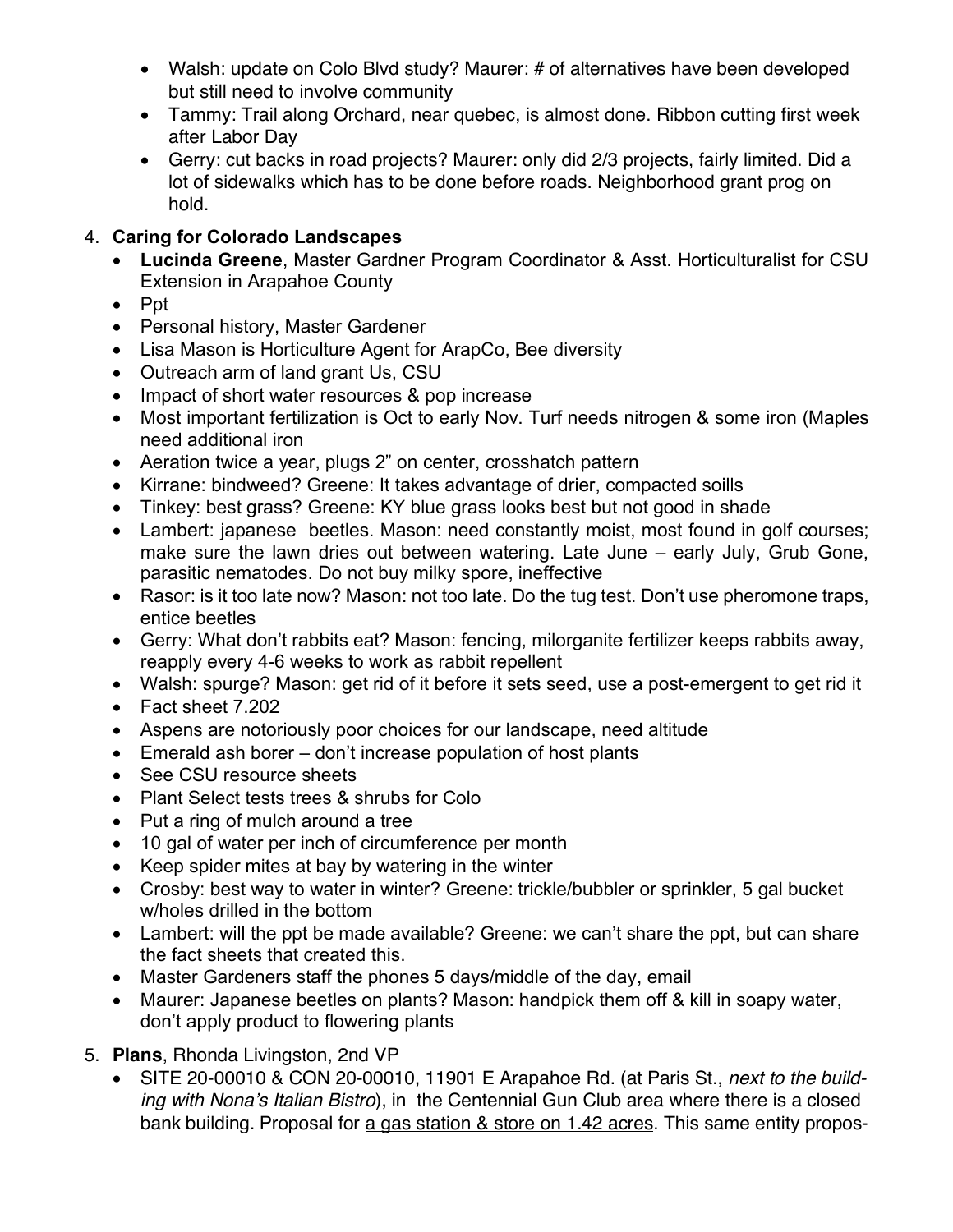- Walsh: update on Colo Blvd study? Maurer: # of alternatives have been developed but still need to involve community
- Tammy: Trail along Orchard, near quebec, is almost done. Ribbon cutting first week after Labor Day
- Gerry: cut backs in road projects? Maurer: only did 2/3 projects, fairly limited. Did a lot of sidewalks which has to be done before roads. Neighborhood grant prog on hold.

### 4. **Caring for Colorado Landscapes**

- **Lucinda Greene**, Master Gardner Program Coordinator & Asst. Horticulturalist for CSU Extension in Arapahoe County
- Ppt
- Personal history, Master Gardener
- Lisa Mason is Horticulture Agent for ArapCo, Bee diversity
- Outreach arm of land grant Us, CSU
- Impact of short water resources & pop increase
- Most important fertilization is Oct to early Nov. Turf needs nitrogen & some iron (Maples need additional iron
- Aeration twice a year, plugs 2" on center, crosshatch pattern
- Kirrane: bindweed? Greene: It takes advantage of drier, compacted soills
- Tinkey: best grass? Greene: KY blue grass looks best but not good in shade
- Lambert: japanese beetles. Mason: need constantly moist, most found in golf courses; make sure the lawn dries out between watering. Late June – early July, Grub Gone, parasitic nematodes. Do not buy milky spore, ineffective
- Rasor: is it too late now? Mason: not too late. Do the tug test. Don't use pheromone traps, entice beetles
- Gerry: What don't rabbits eat? Mason: fencing, milorganite fertilizer keeps rabbits away, reapply every 4-6 weeks to work as rabbit repellent
- Walsh: spurge? Mason: get rid of it before it sets seed, use a post-emergent to get rid it
- Fact sheet 7.202
- Aspens are notoriously poor choices for our landscape, need altitude
- Emerald ash borer don't increase population of host plants
- See CSU resource sheets
- Plant Select tests trees & shrubs for Colo
- Put a ring of mulch around a tree
- 10 gal of water per inch of circumference per month
- Keep spider mites at bay by watering in the winter
- Crosby: best way to water in winter? Greene: trickle/bubbler or sprinkler, 5 gal bucket w/holes drilled in the bottom
- Lambert: will the ppt be made available? Greene: we can't share the ppt, but can share the fact sheets that created this.
- Master Gardeners staff the phones 5 days/middle of the day, email
- Maurer: Japanese beetles on plants? Mason: handpick them off & kill in soapy water, don't apply product to flowering plants
- 5. **Plans**, Rhonda Livingston, 2nd VP
	- SITE 20-00010 & CON 20-00010, 11901 E Arapahoe Rd. (at Paris St., *next to the building with Nona's Italian Bistro*), in the Centennial Gun Club area where there is a closed bank building. Proposal for a gas station & store on 1.42 acres. This same entity propos-